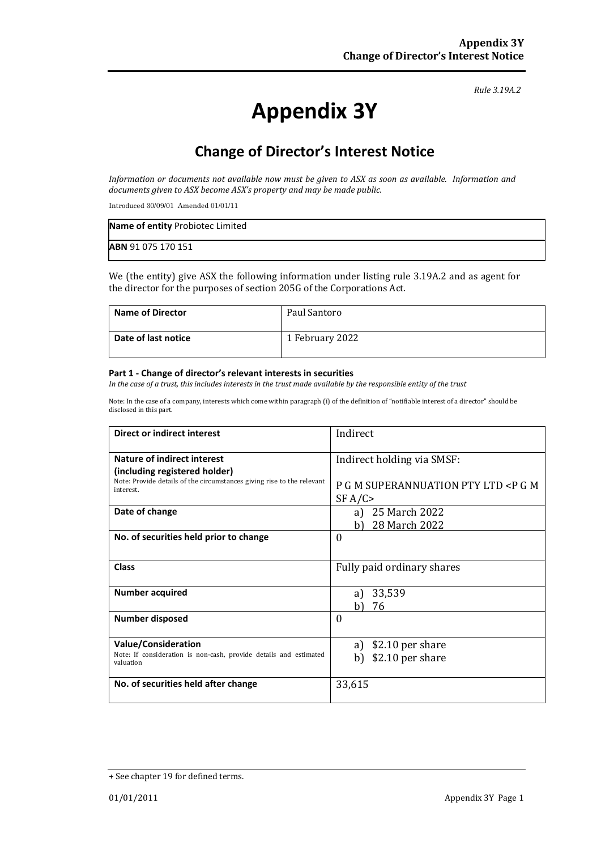*Rule 3.19A.2*

# **Appendix 3Y**

# **Change of Director's Interest Notice**

*Information or documents not available now must be given to ASX as soon as available. Information and documents given to ASX become ASX's property and may be made public.*

Introduced 30/09/01 Amended 01/01/11

| Name of entity Probiotec Limited |  |
|----------------------------------|--|
| ABN 91 075 170 151               |  |

We (the entity) give ASX the following information under listing rule 3.19A.2 and as agent for the director for the purposes of section 205G of the Corporations Act.

| Name of Director    | Paul Santoro    |
|---------------------|-----------------|
| Date of last notice | 1 February 2022 |

#### **Part 1 - Change of director's relevant interests in securities**

*In the case of a trust, this includes interests in the trust made available by the responsible entity of the trust*

Note: In the case of a company, interests which come within paragraph (i) of the definition of "notifiable interest of a director" should be disclosed in this part.

| <b>Direct or indirect interest</b>                                                                                                            | Indirect                                                |  |
|-----------------------------------------------------------------------------------------------------------------------------------------------|---------------------------------------------------------|--|
| <b>Nature of indirect interest</b><br>(including registered holder)<br>Note: Provide details of the circumstances giving rise to the relevant | Indirect holding via SMSF:                              |  |
| interest.                                                                                                                                     | P G M SUPERANNUATION PTY LTD <p g="" m<br="">SF A/C</p> |  |
| Date of change                                                                                                                                | a) 25 March 2022<br>28 March 2022<br>b)                 |  |
| No. of securities held prior to change                                                                                                        | $\Omega$                                                |  |
| <b>Class</b>                                                                                                                                  | Fully paid ordinary shares                              |  |
| <b>Number acquired</b>                                                                                                                        | 33,539<br>a)<br>76<br>h I                               |  |
| <b>Number disposed</b>                                                                                                                        | $\Omega$                                                |  |
| <b>Value/Consideration</b>                                                                                                                    | \$2.10 per share<br>a)                                  |  |
| Note: If consideration is non-cash, provide details and estimated<br>valuation                                                                | \$2.10 per share<br>b)                                  |  |
| No. of securities held after change                                                                                                           | 33,615                                                  |  |

<sup>+</sup> See chapter 19 for defined terms.